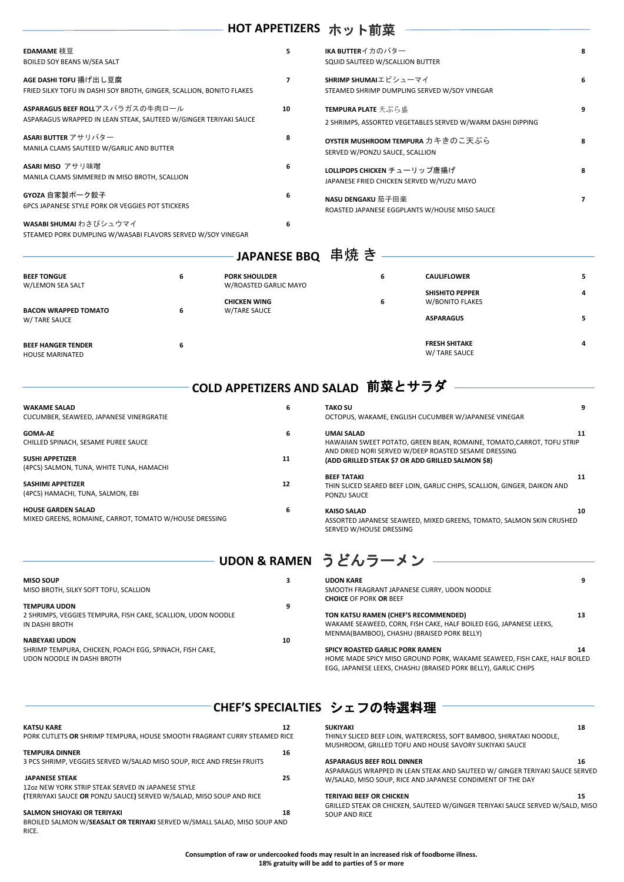| EDAMAME 枝豆<br><b>BOILED SOY BEANS W/SEA SALT</b>                                                    | 5. | IKA BUTTERイカのバター<br>SQUID SAUTEED W/SCALLION BUTTER                                     |                |
|-----------------------------------------------------------------------------------------------------|----|-----------------------------------------------------------------------------------------|----------------|
| AGE DASHI TOFU 揚げ出し豆腐<br>FRIED SILKY TOFU IN DASHI SOY BROTH, GINGER, SCALLION, BONITO FLAKES       | 7  | SHRIMP SHUMAIエビシューマイ<br>STEAMED SHRIMP DUMPLING SERVED W/SOY VINEGAR                    |                |
| ASPARAGUS BEEF ROLLアスパラガスの牛肉ロール<br>ASPARAGUS WRAPPED IN LEAN STEAK, SAUTEED W/GINGER TERIYAKI SAUCE | 10 | <b>TEMPURA PLATE</b> 天ぷら盛<br>2 SHRIMPS, ASSORTED VEGETABLES SERVED W/WARM DASHI DIPPING | 9              |
| ASARI BUTTER アサリバター<br>MANILA CLAMS SAUTEED W/GARLIC AND BUTTER                                     | 8  | OYSTER MUSHROOM TEMPURA カキきのこ天ぷら<br>SERVED W/PONZU SAUCE, SCALLION                      |                |
| ASARI MISO アサリ味噌<br>MANILA CLAMS SIMMERED IN MISO BROTH, SCALLION                                   | 6  | LOLLIPOPS CHICKEN チューリップ唐揚げ<br>JAPANESE FRIED CHICKEN SERVED W/YUZU MAYO                |                |
| GYOZA 自家製ポーク餃子<br><b>6PCS JAPANESE STYLE PORK OR VEGGIES POT STICKERS</b>                           | 6  | NASU DENGAKU 茄子田楽<br>ROASTED JAPANESE EGGPLANTS W/HOUSE MISO SAUCE                      | $\overline{ }$ |
| WASABI SHUMAI わさびシュウマイ<br>STEAMED PORK DUMPLING W/WASABI FLAVORS SERVED W/SOY VINEGAR               | 6  |                                                                                         |                |

| <b>WAKAME SALAD</b><br>CUCUMBER, SEAWEED, JAPANESE VINERGRATIE                      | 6  | <b>TAKO SU</b><br>OCTOPUS, WAKAME, ENGLISH CUCUMBER W/JAPANESE VINEGAR                                                                             | 9 |
|-------------------------------------------------------------------------------------|----|----------------------------------------------------------------------------------------------------------------------------------------------------|---|
| <b>GOMA-AE</b><br>CHILLED SPINACH, SESAME PUREE SAUCE                               | 6  | UMAI SALAD<br>11<br>HAWAIIAN SWEET POTATO, GREEN BEAN, ROMAINE, TOMATO, CARROT, TOFU STRIP<br>AND DRIED NORI SERVED W/DEEP ROASTED SESAME DRESSING |   |
| <b>SUSHI APPETIZER</b><br>(4PCS) SALMON, TUNA, WHITE TUNA, HAMACHI                  | 11 | (ADD GRILLED STEAK \$7 OR ADD GRILLED SALMON \$8)<br><b>BEEF TATAKI</b><br>11                                                                      |   |
| <b>SASHIMI APPETIZER</b><br>(4PCS) HAMACHI, TUNA, SALMON, EBI                       | 12 | THIN SLICED SEARED BEEF LOIN, GARLIC CHIPS, SCALLION, GINGER, DAIKON AND<br>PONZU SAUCE                                                            |   |
| <b>HOUSE GARDEN SALAD</b><br>MIXED GREENS, ROMAINE, CARROT, TOMATO W/HOUSE DRESSING | 6  | <b>KAISO SALAD</b><br>10<br>ASSORTED JAPANESE SEAWEED, MIXED GREENS, TOMATO, SALMON SKIN CRUSHED<br>SERVED W/HOUSE DRESSING                        |   |

# **HOT APPETIZERS** ホット前菜

|                                                                                                               | <b>UDON &amp; RAMEN</b> |
|---------------------------------------------------------------------------------------------------------------|-------------------------|
| <b>MISO SOUP</b><br>MISO BROTH, SILKY SOFT TOFU, SCALLION                                                     | 3                       |
| <b>TEMPURA UDON</b><br>2 SHRIMPS, VEGGIES TEMPURA, FISH CAKE, SCALLION, UDON NOODLE<br>IN DASHI BROTH         | 9                       |
| <b>NABEYAKI UDON</b><br>SHRIMP TEMPURA, CHICKEN, POACH EGG, SPINACH, FISH CAKE,<br>UDON NOODLE IN DASHI BROTH | 10                      |

| JAPANESE BBQ 串焼き                                    |   |                       |   |                                       |   |
|-----------------------------------------------------|---|-----------------------|---|---------------------------------------|---|
| <b>BEEF TONGUE</b>                                  | 6 | <b>PORK SHOULDER</b>  | 6 | <b>CAULIFLOWER</b>                    | 5 |
| W/LEMON SEA SALT                                    |   | W/ROASTED GARLIC MAYO |   | <b>SHISHITO PEPPER</b>                | 4 |
|                                                     |   | <b>CHICKEN WING</b>   | 6 | W/BONITO FLAKES                       |   |
| <b>BACON WRAPPED TOMATO</b><br>W/ TARE SAUCE        | 6 | W/TARE SAUCE          |   | <b>ASPARAGUS</b>                      | 5 |
| <b>BEEF HANGER TENDER</b><br><b>HOUSE MARINATED</b> | 6 |                       |   | <b>FRESH SHITAKE</b><br>W/ TARE SAUCE | 4 |

## **UDON KARE 9**  SMOOTH FRAGRANT JAPANESE CURRY, UDON NOODLE **CHOICE** OF PORK **OR** BEEF **TON KATSU RAMEN (CHEF'S RECOMMENDED) 13**

WAKAME SEAWEED, CORN, FISH CAKE, HALF BOILED EGG, JAPANESE LEEKS, MENMA(BAMBOO), CHASHU (BRAISED PORK BELLY)

 **COLD APPETIZERS AND SALAD**  前菜とサラダ

## **SPICY ROASTED GARLIC PORK RAMEN 14**

HOME MADE SPICY MISO GROUND PORK, WAKAME SEAWEED, FISH CAKE, HALF BOILED

EGG, JAPANESE LEEKS, CHASHU (BRAISED PORK BELLY), GARLIC CHIPS

## ───────────────────────────────CHEF'S SPECIALTIES シェフの特選料理

**KATSU KARE 12**  PORK CUTLETS **OR** SHRIMP TEMPURA, HOUSE SMOOTH FRAGRANT CURRY STEAMED RICE **TEMPURA DINNER 16**  3 PCS SHRIMP, VEGGIES SERVED W/SALAD MISO SOUP, RICE AND FRESH FRUITS **JAPANESE STEAK 25**  12oz NEW YORK STRIP STEAK SERVED IN JAPANESE STYLE **(**TERRIYAKI SAUCE **OR** PONZU SAUCE**)** SERVED W/SALAD, MISO SOUP AND RICE **SALMON SHIOYAKI OR TERIYAKI 18**  BROILED SALMON W/**SEASALT OR TERIYAKI** SERVED W/SMALL SALAD, MISO SOUP AND RICE.

**SUKIYAKI 18** THINLY SLICED BEEF LOIN, WATERCRESS, SOFT BAMBOO, SHIRATAKI NOODLE, MUSHROOM, GRILLED TOFU AND HOUSE SAVORY SUKIYAKI SAUCE

## **ASPARAGUS BEEF ROLL DINNER 16**

ASPARAGUS WRAPPED IN LEAN STEAK AND SAUTEED W/ GINGER TERIYAKI SAUCE SERVED W/SALAD, MISO SOUP, RICE AND JAPANESE CONDIMENT OF THE DAY

#### **TERIYAKI BEEF OR CHICKEN** 15 **15**

GRILLED STEAK OR CHICKEN, SAUTEED W/GINGER TERIYAKI SAUCE SERVED W/SALD, MISO SOUP AND RICE

 **Consumption of raw or undercooked foods may result in an increased risk of foodborne illness. 18% gratuity will be add to parties of 5 or more**

# うどんラーメン